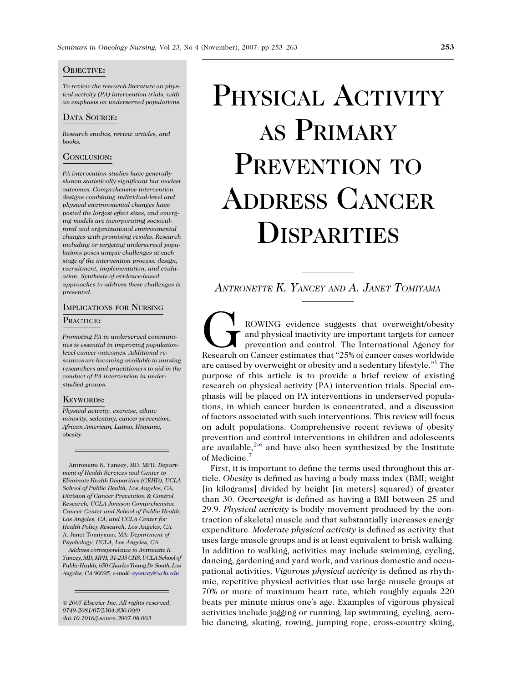#### OBJECTIVE:

To review the research literature on physical activity (PA) intervention trials, with an emphasis on underserved populations.

#### DATA SOURCE:

Research studies, review articles, and books.

#### CONCLUSION:

PA intervention studies have generally shown statistically significant but modest outcomes. Comprehensive intervention designs combining individual-level and physical environmental changes have posted the largest effect sizes, and emerging models are incorporating sociocultural and organizational environmental changes with promising results. Research including or targeting underserved populations poses unique challenges at each stage of the intervention process: design, recruitment, implementation, and evaluation. Synthesis of evidence-based approaches to address these challenges is presented.

## IMPLICATIONS FOR NURSING

#### PRACTICE:

Promoting PA in underserved communities is essential in improving populationlevel cancer outcomes. Additional resources are becoming available to nursing researchers and practitioners to aid in the conduct of PA intervention in understudied groups.

#### KEYWORDS:

Physical activity, exercise, ethnic minority, sedentary, cancer prevention, African American, Latino, Hispanic, obesity

Antronette K. Yancey, MD, MPH: Department of Health Services and Center to Eliminate Health Disparities (CEHD), UCLA School of Public Health, Los Angeles, CA; Division of Cancer Prevention & Control Research, UCLA Jonsson Comprehensive Cancer Center and School of Public Health, Los Angeles, CA; and UCLA Center for Health Policy Research, Los Angeles, CA. A. Janet Tomiyama, MA: Department of Psychology, UCLA, Los Angeles, CA.

Address correspondence to Antronette K. Yancey, MD, MPH, 31-235 CHS, UCLA School of Public Health, 650 Charles Young Dr South, Los Angeles, CA 90095; e-mail: [ayancey@ucla.edu](mailto:ayancey@ucla.edu)

- 2007 Elsevier Inc. All rights reserved. 0749-2081/07/2304-\$30.00/0 doi:10.1016/j.soncn.2007.08.003

# PHYSICAL ACTIVITY AS PRIMARY PREVENTION TO ADDRESS CANCER **DISPARITIES**

ANTRONETTE K. YANCEY AND A. JANET TOMIYAMA

ROWING evidence suggests that overweight/obesity<br>and physical inactivity are important targets for cancer<br>prevention and control. The International Agency for<br>Research on Cancer estimates that "25% of cancer cases worldwid and physical inactivity are important targets for cancer prevention and control. The International Agency for are caused by overweight or obesity and a sedentary lifestyle."<sup>[1](#page-6-0)</sup> The purpose of this article is to provide a brief review of existing research on physical activity (PA) intervention trials. Special emphasis will be placed on PA interventions in underserved populations, in which cancer burden is concentrated, and a discussion of factors associated with such interventions. This review will focus on adult populations. Comprehensive recent reviews of obesity prevention and control interventions in children and adolescents are available, $2-6$  and have also been synthesized by the Institute of Medicine.[7](#page-7-0)

First, it is important to define the terms used throughout this article. Obesity is defined as having a body mass index (BMI; weight [in kilograms] divided by height [in meters] squared) of greater than 30. Overweight is defined as having a BMI between 25 and 29.9. Physical activity is bodily movement produced by the contraction of skeletal muscle and that substantially increases energy expenditure. Moderate physical activity is defined as activity that uses large muscle groups and is at least equivalent to brisk walking. In addition to walking, activities may include swimming, cycling, dancing, gardening and yard work, and various domestic and occupational activities. Vigorous physical activity is defined as rhythmic, repetitive physical activities that use large muscle groups at 70% or more of maximum heart rate, which roughly equals 220 beats per minute minus one's age. Examples of vigorous physical activities include jogging or running, lap swimming, cycling, aerobic dancing, skating, rowing, jumping rope, cross-country skiing,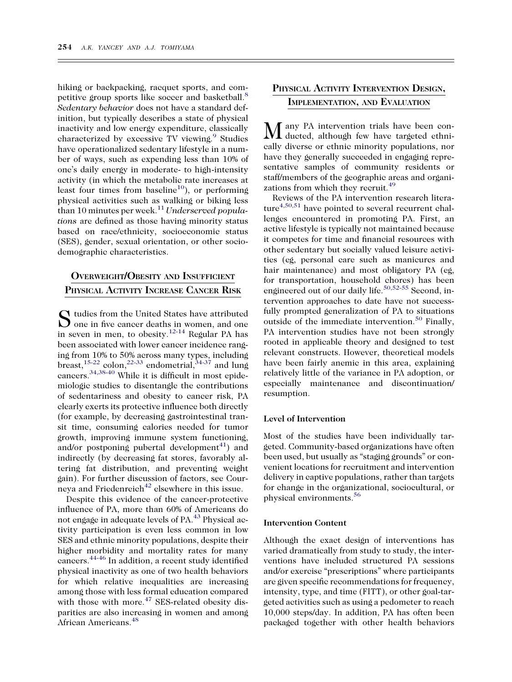hiking or backpacking, racquet sports, and competitive group sports like soccer and basketball.[8](#page-7-0) Sedentary behavior does not have a standard definition, but typically describes a state of physical inactivity and low energy expenditure, classically characterized by excessive TV viewing.<sup>[9](#page-7-0)</sup> Studies have operationalized sedentary lifestyle in a number of ways, such as expending less than 10% of one's daily energy in moderate- to high-intensity activity (in which the metabolic rate increases at least four times from baseline<sup>10</sup>), or performing physical activities such as walking or biking less than 10 minutes per week.<sup>[11](#page-7-0)</sup> Underserved populations are defined as those having minority status based on race/ethnicity, socioeconomic status (SES), gender, sexual orientation, or other sociodemographic characteristics.

## OVERWEIGHT/OBESITY AND INSUFFICIENT PHYSICAL ACTIVITY INCREASE CANCER RISK

 $S$  tudies from the United States have attributed<br>one in five cancer deaths in women, and one in seven in men, to obesity.<sup>[12-14](#page-7-0)</sup> Regular PA has been associated with lower cancer incidence ranging from 10% to 50% across many types, including breast,<sup>15-22</sup> colon,<sup>[22-33](#page-7-0)</sup> endometrial, $34-37$  and lung cancers.<sup>[34,38-40](#page-7-0)</sup> While it is difficult in most epidemiologic studies to disentangle the contributions of sedentariness and obesity to cancer risk, PA clearly exerts its protective influence both directly (for example, by decreasing gastrointestinal transit time, consuming calories needed for tumor growth, improving immune system functioning, and/or postponing pubertal development $41$ ) and indirectly (by decreasing fat stores, favorably altering fat distribution, and preventing weight gain). For further discussion of factors, see Cour-neya and Friedenreich<sup>[42](#page-7-0)</sup> elsewhere in this issue.

Despite this evidence of the cancer-protective influence of PA, more than 60% of Americans do not engage in adequate levels of PA.<sup>[43](#page-7-0)</sup> Physical activity participation is even less common in low SES and ethnic minority populations, despite their higher morbidity and mortality rates for many cancers.[44-46](#page-7-0) In addition, a recent study identified physical inactivity as one of two health behaviors for which relative inequalities are increasing among those with less formal education compared with those with more. $47$  SES-related obesity disparities are also increasing in women and among African Americans.[48](#page-7-0)

## PHYSICAL ACTIVITY INTERVENTION DESIGN, IMPLEMENTATION, AND EVALUATION

any PA intervention trials have been conducted, although few have targeted ethnically diverse or ethnic minority populations, nor have they generally succeeded in engaging representative samples of community residents or staff/members of the geographic areas and organi-zations from which they recruit.<sup>[49](#page-7-0)</sup>

Reviews of the PA intervention research litera-ture<sup>[4,50,51](#page-6-0)</sup> have pointed to several recurrent challenges encountered in promoting PA. First, an active lifestyle is typically not maintained because it competes for time and financial resources with other sedentary but socially valued leisure activities (eg, personal care such as manicures and hair maintenance) and most obligatory PA (eg, for transportation, household chores) has been engineered out of our daily life.<sup>[50,52-55](#page-8-0)</sup> Second, intervention approaches to date have not successfully prompted generalization of PA to situations outside of the immediate intervention.<sup>[50](#page-8-0)</sup> Finally, PA intervention studies have not been strongly rooted in applicable theory and designed to test relevant constructs. However, theoretical models have been fairly anemic in this area, explaining relatively little of the variance in PA adoption, or especially maintenance and discontinuation/ resumption.

#### Level of Intervention

Most of the studies have been individually targeted. Community-based organizations have often been used, but usually as ''staging grounds'' or convenient locations for recruitment and intervention delivery in captive populations, rather than targets for change in the organizational, sociocultural, or physical environments.[56](#page-8-0)

#### Intervention Content

Although the exact design of interventions has varied dramatically from study to study, the interventions have included structured PA sessions and/or exercise "prescriptions" where participants are given specific recommendations for frequency, intensity, type, and time (FITT), or other goal-targeted activities such as using a pedometer to reach 10,000 steps/day. In addition, PA has often been packaged together with other health behaviors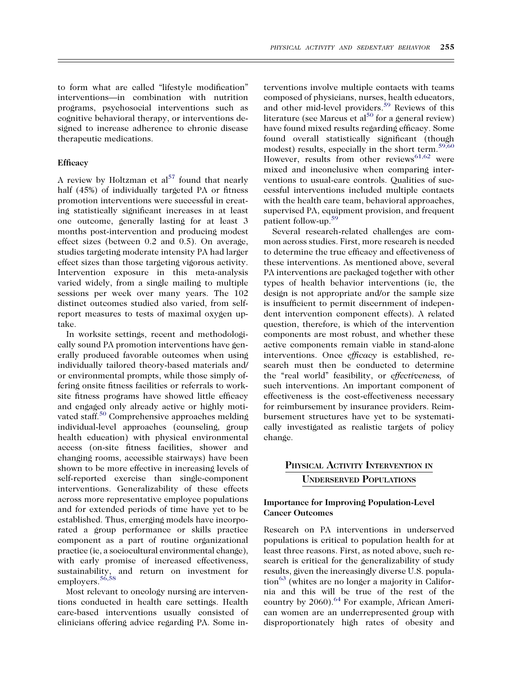to form what are called ''lifestyle modification'' interventions—in combination with nutrition programs, psychosocial interventions such as cognitive behavioral therapy, or interventions designed to increase adherence to chronic disease therapeutic medications.

#### **Efficacy**

A review by Holtzman et  $al<sup>57</sup>$  found that nearly half (45%) of individually targeted PA or fitness promotion interventions were successful in creating statistically significant increases in at least one outcome, generally lasting for at least 3 months post-intervention and producing modest effect sizes (between 0.2 and 0.5). On average, studies targeting moderate intensity PA had larger effect sizes than those targeting vigorous activity. Intervention exposure in this meta-analysis varied widely, from a single mailing to multiple sessions per week over many years. The 102 distinct outcomes studied also varied, from selfreport measures to tests of maximal oxygen uptake.

In worksite settings, recent and methodologically sound PA promotion interventions have generally produced favorable outcomes when using individually tailored theory-based materials and/ or environmental prompts, while those simply offering onsite fitness facilities or referrals to worksite fitness programs have showed little efficacy and engaged only already active or highly moti-vated staff.<sup>[50](#page-8-0)</sup> Comprehensive approaches melding individual-level approaches (counseling, group health education) with physical environmental access (on-site fitness facilities, shower and changing rooms, accessible stairways) have been shown to be more effective in increasing levels of self-reported exercise than single-component interventions. Generalizability of these effects across more representative employee populations and for extended periods of time have yet to be established. Thus, emerging models have incorporated a group performance or skills practice component as a part of routine organizational practice (ie, a sociocultural environmental change), with early promise of increased effectiveness, sustainability, and return on investment for employers.<sup>[56,58](#page-8-0)</sup>

Most relevant to oncology nursing are interventions conducted in health care settings. Health care-based interventions usually consisted of clinicians offering advice regarding PA. Some in-

terventions involve multiple contacts with teams composed of physicians, nurses, health educators, and other mid-level providers.<sup>[59](#page-8-0)</sup> Reviews of this literature (see Marcus et al<sup>50</sup> for a general review) have found mixed results regarding efficacy. Some found overall statistically significant (though modest) results, especially in the short term.<sup>[59,60](#page-8-0)</sup> However, results from other reviews $^{61,62}$  $^{61,62}$  $^{61,62}$  were mixed and inconclusive when comparing interventions to usual-care controls. Qualities of successful interventions included multiple contacts with the health care team, behavioral approaches, supervised PA, equipment provision, and frequent patient follow-up.[59](#page-8-0)

Several research-related challenges are common across studies. First, more research is needed to determine the true efficacy and effectiveness of these interventions. As mentioned above, several PA interventions are packaged together with other types of health behavior interventions (ie, the design is not appropriate and/or the sample size is insufficient to permit discernment of independent intervention component effects). A related question, therefore, is which of the intervention components are most robust, and whether these active components remain viable in stand-alone interventions. Once efficacy is established, research must then be conducted to determine the "real world" feasibility, or effectiveness, of such interventions. An important component of effectiveness is the cost-effectiveness necessary for reimbursement by insurance providers. Reimbursement structures have yet to be systematically investigated as realistic targets of policy change.

## PHYSICAL ACTIVITY INTERVENTION IN UNDERSERVED POPULATIONS

#### Importance for Improving Population-Level Cancer Outcomes

Research on PA interventions in underserved populations is critical to population health for at least three reasons. First, as noted above, such research is critical for the generalizability of study results, given the increasingly diverse U.S. popula- $\text{tion}^{63}$  $\text{tion}^{63}$  $\text{tion}^{63}$  (whites are no longer a majority in California and this will be true of the rest of the country by 2060).<sup>64</sup> For example, African American women are an underrepresented group with disproportionately high rates of obesity and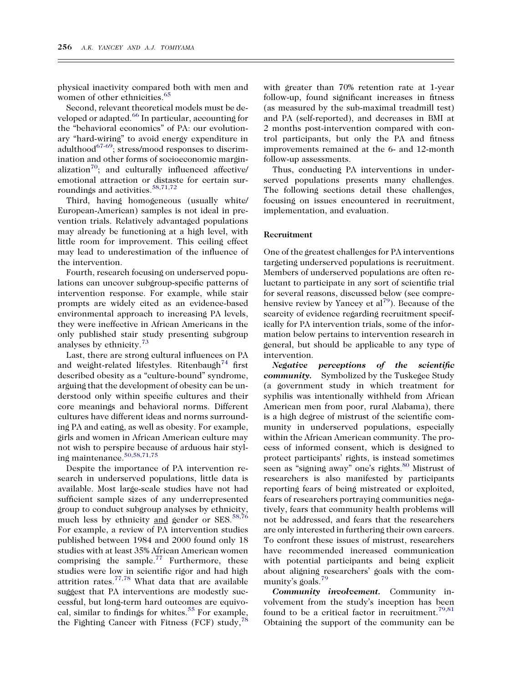physical inactivity compared both with men and women of other ethnicities.<sup>[65](#page-8-0)</sup>

Second, relevant theoretical models must be de-veloped or adapted.<sup>[66](#page-8-0)</sup> In particular, accounting for the ''behavioral economics'' of PA: our evolutionary ''hard-wiring'' to avoid energy expenditure in adulthood<sup>67-69</sup>; stress/mood responses to discrimination and other forms of socioeconomic marginalization $70$ ; and culturally influenced affective/ emotional attraction or distaste for certain surroundings and activities.<sup>58,71,72</sup>

Third, having homogeneous (usually white/ European-American) samples is not ideal in prevention trials. Relatively advantaged populations may already be functioning at a high level, with little room for improvement. This ceiling effect may lead to underestimation of the influence of the intervention.

Fourth, research focusing on underserved populations can uncover subgroup-specific patterns of intervention response. For example, while stair prompts are widely cited as an evidence-based environmental approach to increasing PA levels, they were ineffective in African Americans in the only published stair study presenting subgroup analyses by ethnicity.<sup>[73](#page-8-0)</sup>

Last, there are strong cultural influences on PA and weight-related lifestyles. Ritenbaugh<sup>[74](#page-8-0)</sup> first described obesity as a "culture-bound" syndrome, arguing that the development of obesity can be understood only within specific cultures and their core meanings and behavioral norms. Different cultures have different ideas and norms surrounding PA and eating, as well as obesity. For example, girls and women in African American culture may not wish to perspire because of arduous hair styling maintenance.[50,58,71,75](#page-8-0)

Despite the importance of PA intervention research in underserved populations, little data is available. Most large-scale studies have not had sufficient sample sizes of any underrepresented group to conduct subgroup analyses by ethnicity, much less by ethnicity and gender or SES.<sup>[58,76](#page-8-0)</sup> For example, a review of PA intervention studies published between 1984 and 2000 found only 18 studies with at least 35% African American women comprising the sample.<sup>[77](#page-8-0)</sup> Furthermore, these studies were low in scientific rigor and had high attrition rates. $77,78$  What data that are available suggest that PA interventions are modestly successful, but long-term hard outcomes are equivo-cal, similar to findings for whites.<sup>[55](#page-8-0)</sup> For example, the Fighting Cancer with Fitness (FCF) study,  $^{78}$  $^{78}$  $^{78}$ 

with greater than 70% retention rate at 1-year follow-up, found significant increases in fitness (as measured by the sub-maximal treadmill test) and PA (self-reported), and decreases in BMI at 2 months post-intervention compared with control participants, but only the PA and fitness improvements remained at the 6- and 12-month follow-up assessments.

Thus, conducting PA interventions in underserved populations presents many challenges. The following sections detail these challenges, focusing on issues encountered in recruitment, implementation, and evaluation.

#### Recruitment

One of the greatest challenges for PA interventions targeting underserved populations is recruitment. Members of underserved populations are often reluctant to participate in any sort of scientific trial for several reasons, discussed below (see comprehensive review by Yancey et  $al^{79}$  $al^{79}$  $al^{79}$ ). Because of the scarcity of evidence regarding recruitment specifically for PA intervention trials, some of the information below pertains to intervention research in general, but should be applicable to any type of intervention.

Negative perceptions of the scientific community. Symbolized by the Tuskegee Study (a government study in which treatment for syphilis was intentionally withheld from African American men from poor, rural Alabama), there is a high degree of mistrust of the scientific community in underserved populations, especially within the African American community. The process of informed consent, which is designed to protect participants' rights, is instead sometimes seen as "signing away" one's rights.<sup>[80](#page-8-0)</sup> Mistrust of researchers is also manifested by participants reporting fears of being mistreated or exploited, fears of researchers portraying communities negatively, fears that community health problems will not be addressed, and fears that the researchers are only interested in furthering their own careers. To confront these issues of mistrust, researchers have recommended increased communication with potential participants and being explicit about aligning researchers' goals with the com-munity's goals.<sup>[79](#page-8-0)</sup>

Community involvement. Community involvement from the study's inception has been found to be a critical factor in recruitment.<sup>[79,81](#page-8-0)</sup> Obtaining the support of the community can be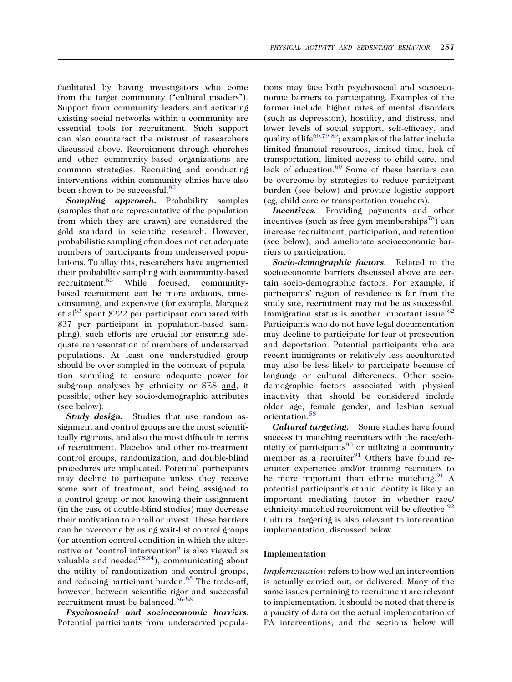facilitated by having investigators who come from the target community ("cultural insiders"). Support from community leaders and activating existing social networks within a community are essential tools for recruitment. Such support can also counteract the mistrust of researchers discussed above. Recruitment through churches and other community-based organizations are common strategies. Recruiting and conducting interventions within community clinics have also been shown to be successful.<sup>[82](#page-8-0)</sup>

Sampling approach. Probability samples (samples that are representative of the population from which they are drawn) are considered the gold standard in scientific research. However, probabilistic sampling often does not net adequate numbers of participants from underserved populations. To allay this, researchers have augmented their probability sampling with community-based recruitment.<sup>[83](#page-8-0)</sup> While focused, communitybased recruitment can be more arduous, timeconsuming, and expensive (for example, Marquez et al<sup>83</sup> spent \$222 per participant compared with \$37 per participant in population-based sampling), such efforts are crucial for ensuring adequate representation of members of underserved populations. At least one understudied group should be over-sampled in the context of population sampling to ensure adequate power for subgroup analyses by ethnicity or SES and, if possible, other key socio-demographic attributes (see below).

Study design. Studies that use random assignment and control groups are the most scientifically rigorous, and also the most difficult in terms of recruitment. Placebos and other no-treatment control groups, randomization, and double-blind procedures are implicated. Potential participants may decline to participate unless they receive some sort of treatment, and being assigned to a control group or not knowing their assignment (in the case of double-blind studies) may decrease their motivation to enroll or invest. These barriers can be overcome by using wait-list control groups (or attention control condition in which the alternative or "control intervention" is also viewed as valuable and needed<sup>78,84</sup>), communicating about the utility of randomization and control groups, and reducing participant burden.<sup>[85](#page-8-0)</sup> The trade-off, however, between scientific rigor and successful recruitment must be balanced.<sup>[86-88](#page-9-0)</sup>

Psychosocial and socioeconomic barriers. Potential participants from underserved popula-

tions may face both psychosocial and socioeconomic barriers to participating. Examples of the former include higher rates of mental disorders (such as depression), hostility, and distress, and lower levels of social support, self-efficacy, and quality of life<sup>[60,79,89](#page-8-0)</sup>; examples of the latter include limited financial resources, limited time, lack of transportation, limited access to child care, and lack of education.<sup>[60](#page-8-0)</sup> Some of these barriers can be overcome by strategies to reduce participant burden (see below) and provide logistic support (eg, child care or transportation vouchers).

Incentives. Providing payments and other incentives (such as free gym memberships<sup>[78](#page-8-0)</sup>) can increase recruitment, participation, and retention (see below), and ameliorate socioeconomic barriers to participation.

Socio-demographic factors. Related to the socioeconomic barriers discussed above are certain socio-demographic factors. For example, if participants' region of residence is far from the study site, recruitment may not be as successful. Immigration status is another important issue.<sup>[82](#page-8-0)</sup> Participants who do not have legal documentation may decline to participate for fear of prosecution and deportation. Potential participants who are recent immigrants or relatively less acculturated may also be less likely to participate because of language or cultural differences. Other sociodemographic factors associated with physical inactivity that should be considered include older age, female gender, and lesbian sexual orientation.[58](#page-8-0)

Cultural targeting. Some studies have found success in matching recruiters with the race/ethnicity of participants $90$  or utilizing a community member as a recruiter<sup>[91](#page-9-0)</sup> Others have found recruiter experience and/or training recruiters to be more important than ethnic matching. $91$  A potential participant's ethnic identity is likely an important mediating factor in whether race/ ethnicity-matched recruitment will be effective.  $92$ Cultural targeting is also relevant to intervention implementation, discussed below.

#### Implementation

Implementation refers to how well an intervention is actually carried out, or delivered. Many of the same issues pertaining to recruitment are relevant to implementation. It should be noted that there is a paucity of data on the actual implementation of PA interventions, and the sections below will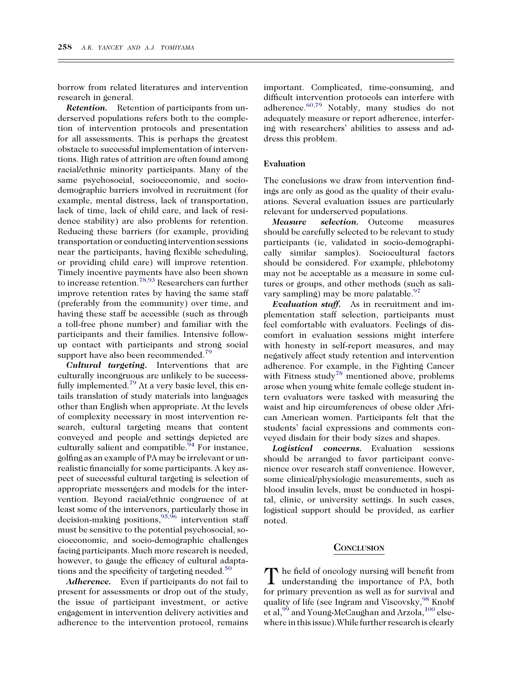borrow from related literatures and intervention research in general.

Retention. Retention of participants from underserved populations refers both to the completion of intervention protocols and presentation for all assessments. This is perhaps the greatest obstacle to successful implementation of interventions. High rates of attrition are often found among racial/ethnic minority participants. Many of the same psychosocial, socioeconomic, and sociodemographic barriers involved in recruitment (for example, mental distress, lack of transportation, lack of time, lack of child care, and lack of residence stability) are also problems for retention. Reducing these barriers (for example, providing transportation or conducting intervention sessions near the participants, having flexible scheduling, or providing child care) will improve retention. Timely incentive payments have also been shown to increase retention.<sup>[78,93](#page-8-0)</sup> Researchers can further improve retention rates by having the same staff (preferably from the community) over time, and having these staff be accessible (such as through a toll-free phone number) and familiar with the participants and their families. Intensive followup contact with participants and strong social support have also been recommended.<sup>[79](#page-8-0)</sup>

Cultural targeting. Interventions that are culturally incongruous are unlikely to be successfully implemented.<sup>79</sup> At a very basic level, this entails translation of study materials into languages other than English when appropriate. At the levels of complexity necessary in most intervention research, cultural targeting means that content conveyed and people and settings depicted are culturally salient and compatible. $94$  For instance, golfing as an example of PA may be irrelevant or unrealistic financially for some participants. A key aspect of successful cultural targeting is selection of appropriate messengers and models for the intervention. Beyond racial/ethnic congruence of at least some of the intervenors, particularly those in decision-making positions,  $95,96$  intervention staff must be sensitive to the potential psychosocial, socioeconomic, and socio-demographic challenges facing participants. Much more research is needed, however, to gauge the efficacy of cultural adaptations and the specificity of targeting needed. $^{50}$  $^{50}$  $^{50}$ 

Adherence. Even if participants do not fail to present for assessments or drop out of the study, the issue of participant investment, or active engagement in intervention delivery activities and adherence to the intervention protocol, remains

important. Complicated, time-consuming, and difficult intervention protocols can interfere with adherence. $60,79$  Notably, many studies do not adequately measure or report adherence, interfering with researchers' abilities to assess and address this problem.

#### Evaluation

The conclusions we draw from intervention findings are only as good as the quality of their evaluations. Several evaluation issues are particularly relevant for underserved populations.

Measure selection. Outcome measures should be carefully selected to be relevant to study participants (ie, validated in socio-demographically similar samples). Sociocultural factors should be considered. For example, phlebotomy may not be acceptable as a measure in some cultures or groups, and other methods (such as salivary sampling) may be more palatable.  $97$ 

Evaluation staff. As in recruitment and implementation staff selection, participants must feel comfortable with evaluators. Feelings of discomfort in evaluation sessions might interfere with honesty in self-report measures, and may negatively affect study retention and intervention adherence. For example, in the Fighting Cancer with Fitness study<sup>78</sup> mentioned above, problems arose when young white female college student intern evaluators were tasked with measuring the waist and hip circumferences of obese older African American women. Participants felt that the students' facial expressions and comments conveyed disdain for their body sizes and shapes.

Logistical concerns. Evaluation sessions should be arranged to favor participant convenience over research staff convenience. However, some clinical/physiologic measurements, such as blood insulin levels, must be conducted in hospital, clinic, or university settings. In such cases, logistical support should be provided, as earlier noted.

#### **CONCLUSION**

The field of oncology nursing will benefit from understanding the importance of PA, both for primary prevention as well as for survival and quality of life (see Ingram and Viscovsky,  $^{98}$  $^{98}$  $^{98}$  Knobf et al,<sup>[99](#page-9-0)</sup> and Young-McCaughan and Arzola,<sup>[100](#page-9-0)</sup> elsewhere in this issue). While further research is clearly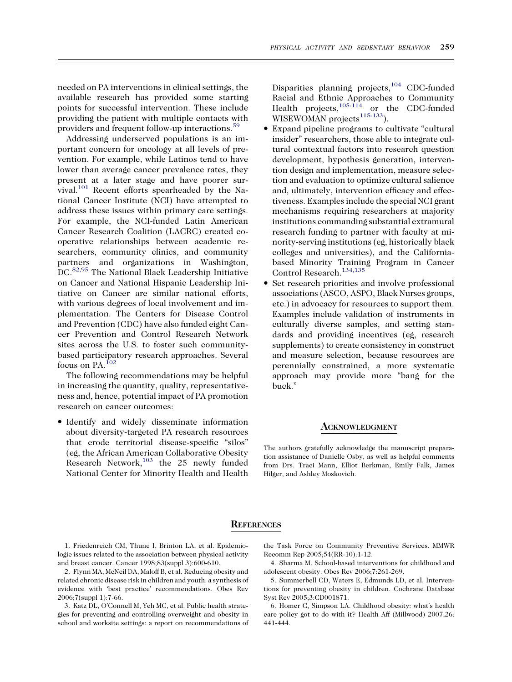<span id="page-6-0"></span>needed on PA interventions in clinical settings, the available research has provided some starting points for successful intervention. These include providing the patient with multiple contacts with providers and frequent follow-up interactions.[59](#page-8-0)

Addressing underserved populations is an important concern for oncology at all levels of prevention. For example, while Latinos tend to have lower than average cancer prevalence rates, they present at a later stage and have poorer survival.[101](#page-9-0) Recent efforts spearheaded by the National Cancer Institute (NCI) have attempted to address these issues within primary care settings. For example, the NCI-funded Latin American Cancer Research Coalition (LACRC) created cooperative relationships between academic researchers, community clinics, and community partners and organizations in Washington, DC.<sup>[82,95](#page-8-0)</sup> The National Black Leadership Initiative on Cancer and National Hispanic Leadership Initiative on Cancer are similar national efforts, with various degrees of local involvement and implementation. The Centers for Disease Control and Prevention (CDC) have also funded eight Cancer Prevention and Control Research Network sites across the U.S. to foster such communitybased participatory research approaches. Several focus on PA.<sup>[102](#page-9-0)</sup>

The following recommendations may be helpful in increasing the quantity, quality, representativeness and, hence, potential impact of PA promotion research on cancer outcomes:

- Identify and widely disseminate information about diversity-targeted PA research resources that erode territorial disease-specific ''silos'' (eg, the African American Collaborative Obesity Research Network, $103$  the 25 newly funded National Center for Minority Health and Health

Disparities planning projects,<sup>104</sup> CDC-funded Racial and Ethnic Approaches to Community Health projects,  $105-114$  or the CDC-funded WISEWOMAN projects<sup>115-133</sup>).

- Expand pipeline programs to cultivate ''cultural insider'' researchers, those able to integrate cultural contextual factors into research question development, hypothesis generation, intervention design and implementation, measure selection and evaluation to optimize cultural salience and, ultimately, intervention efficacy and effectiveness. Examples include the special NCI grant mechanisms requiring researchers at majority institutions commanding substantial extramural research funding to partner with faculty at minority-serving institutions (eg, historically black colleges and universities), and the Californiabased Minority Training Program in Cancer Control Research.[134,135](#page-10-0)
- $\bullet$  Set research priorities and involve professional associations (ASCO, ASPO, Black Nurses groups, etc.) in advocacy for resources to support them. Examples include validation of instruments in culturally diverse samples, and setting standards and providing incentives (eg, research supplements) to create consistency in construct and measure selection, because resources are perennially constrained, a more systematic approach may provide more ''bang for the buck.''

#### ACKNOWLEDGMENT

The authors gratefully acknowledge the manuscript preparation assistance of Danielle Osby, as well as helpful comments from Drs. Traci Mann, Elliot Berkman, Emily Falk, James Hilger, and Ashley Moskovich.

#### **REFERENCES**

1. Friedenreich CM, Thune I, Brinton LA, et al. Epidemiologic issues related to the association between physical activity and breast cancer. Cancer 1998;83(suppl 3):600-610.

2. Flynn MA, McNeil DA, Maloff B, et al. Reducing obesity and related chronic disease risk in children and youth: a synthesis of evidence with 'best practice' recommendations. Obes Rev 2006;7(suppl 1):7-66.

3. Katz DL, O'Connell M, Yeh MC, et al. Public health strategies for preventing and controlling overweight and obesity in school and worksite settings: a report on recommendations of the Task Force on Community Preventive Services. MMWR Recomm Rep 2005;54(RR-10):1-12.

4. Sharma M. School-based interventions for childhood and adolescent obesity. Obes Rev 2006;7:261-269.

5. Summerbell CD, Waters E, Edmunds LD, et al. Interventions for preventing obesity in children. Cochrane Database Syst Rev 2005;3:CD001871.

6. Homer C, Simpson LA. Childhood obesity: what's health care policy got to do with it? Health Aff (Millwood) 2007;26: 441-444.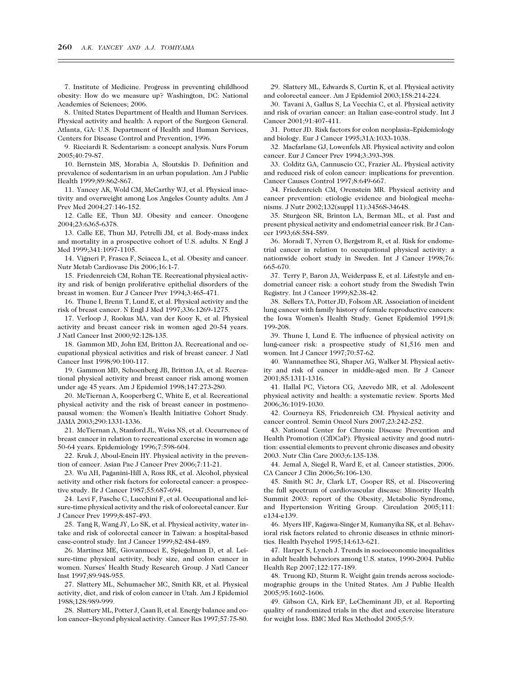<span id="page-7-0"></span>7. Institute of Medicine. Progress in preventing childhood obesity: How do we measure up? Washington, DC: National Academies of Sciences; 2006.

8. United States Department of Health and Human Services. Physical activity and health: A report of the Surgeon General. Atlanta, GA: U.S. Department of Health and Human Services, Centers for Disease Control and Prevention, 1996.

9. Ricciardi R. Sedentarism: a concept analysis. Nurs Forum 2005;40:79-87.

10. Bernstein MS, Morabia A, Sloutskis D. Definition and prevalence of sedentarism in an urban population. Am J Public Health 1999;89:862-867.

11. Yancey AK, Wold CM, McCarthy WJ, et al. Physical inactivity and overweight among Los Angeles County adults. Am J Prev Med 2004;27:146-152.

12. Calle EE, Thun MJ. Obesity and cancer. Oncogene 2004;23:6365-6378.

13. Calle EE, Thun MJ, Petrelli JM, et al. Body-mass index and mortality in a prospective cohort of U.S. adults. N Engl J Med 1999;341:1097-1105.

14. Vigneri P, Frasca F, Sciacca L, et al. Obesity and cancer. Nutr Metab Cardiovasc Dis 2006;16:1-7.

15. Friedenreich CM, Rohan TE. Recreational physical activity and risk of benign proliferative epithelial disorders of the breast in women. Eur J Cancer Prev 1994;3:465-471.

16. Thune I, Brenn T, Lund E, et al. Physical activity and the risk of breast cancer. N Engl J Med 1997;336:1269-1275.

17. Verloop J, Rookus MA, van der Kooy K, et al. Physical activity and breast cancer risk in women aged 20-54 years. J Natl Cancer Inst 2000;92:128-135.

18. Gammon MD, John EM, Britton JA. Recreational and occupational physical activities and risk of breast cancer. J Natl Cancer Inst 1998;90:100-117.

19. Gammon MD, Schoenberg JB, Britton JA, et al. Recreational physical activity and breast cancer risk among women under age 45 years. Am J Epidemiol 1998;147:273-280.

20. McTiernan A, Kooperberg C, White E, et al. Recreational physical activity and the risk of breast cancer in postmenopausal women: the Women's Health Initiative Cohort Study. JAMA 2003;290:1331-1336.

21. McTiernan A, Stanford JL, Weiss NS, et al. Occurrence of breast cancer in relation to recreational exercise in women age 50-64 years. Epidemiology 1996;7:598-604.

22. Kruk J, Aboul-Enein HY. Physical activity in the prevention of cancer. Asian Pac J Cancer Prev 2006;7:11-21.

23. Wu AH, Paganini-Hill A, Ross RK, et al. Alcohol, physical activity and other risk factors for colorectal cancer: a prospective study. Br J Cancer 1987;55:687-694.

24. Levi F, Pasche C, Lucchini F, et al. Occupational and leisure-time physical activity and the risk of colorectal cancer. Eur J Cancer Prev 1999;8:487-493.

25. Tang R, Wang JY, Lo SK, et al. Physical activity, water intake and risk of colorectal cancer in Taiwan: a hospital-based case-control study. Int J Cancer 1999;82:484-489.

26. Martinez ME, Giovannucci E, Spiegelman D, et al. Leisure-time physical activity, body size, and colon cancer in women. Nurses' Health Study Research Group. J Natl Cancer Inst 1997;89:948-955.

27. Slattery ML, Schumacher MC, Smith KR, et al. Physical activity, diet, and risk of colon cancer in Utah. Am J Epidemiol 1988;128:989-999.

28. Slattery ML, Potter J, Caan B, et al. Energy balance and colon cancer–Beyond physical activity. Cancer Res 1997;57:75-80.

29. Slattery ML, Edwards S, Curtin K, et al. Physical activity and colorectal cancer. Am J Epidemiol 2003;158:214-224.

30. Tavani A, Gallus S, La Vecchia C, et al. Physical activity and risk of ovarian cancer: an Italian case-control study. Int J Cancer 2001;91:407-411.

31. Potter JD. Risk factors for colon neoplasia–Epidemiology and biology. Eur J Cancer 1995;31A:1033-1038.

32. Macfarlane GJ, Lowenfels AB. Physical activity and colon cancer. Eur J Cancer Prev 1994;3:393-398.

33. Colditz GA, Cannuscio CC, Frazier AL. Physical activity and reduced risk of colon cancer: implications for prevention. Cancer Causes Control 1997;8:649-667.

34. Friedenreich CM, Orenstein MR. Physical activity and cancer prevention: etiologic evidence and biological mechanisms. J Nutr 2002;132(suppl 11):3456S-3464S.

35. Sturgeon SR, Brinton LA, Berman ML, et al. Past and present physical activity and endometrial cancer risk. Br J Cancer 1993;68:584-589.

36. Moradi T, Nyren O, Bergstrom R, et al. Risk for endometrial cancer in relation to occupational physical activity: a nationwide cohort study in Sweden. Int J Cancer 1998;76: 665-670.

37. Terry P, Baron JA, Weiderpass E, et al. Lifestyle and endometrial cancer risk: a cohort study from the Swedish Twin Registry. Int J Cancer 1999;82:38-42.

38. Sellers TA, Potter JD, Folsom AR. Association of incident lung cancer with family history of female reproductive cancers: the Iowa Women's Health Study. Genet Epidemiol 1991;8: 199-208.

39. Thune I, Lund E. The influence of physical activity on lung-cancer risk: a prospective study of 81,516 men and women. Int J Cancer 1997;70:57-62.

40. Wannamethee SG, Shaper AG, Walker M. Physical activity and risk of cancer in middle-aged men. Br J Cancer 2001;85:1311-1316.

41. Hallal PC, Victora CG, Azevedo MR, et al. Adolescent physical activity and health: a systematic review. Sports Med 2006;36:1019-1030.

42. Courneya KS, Friedenreich CM. Physical activity and cancer control. Semin Oncol Nurs 2007;23:242-252.

43. National Center for Chronic Disease Prevention and Health Promotion (CfDCaP). Physical activity and good nutrition: essential elements to prevent chronic diseases and obesity 2003. Nutr Clin Care 2003;6:135-138.

44. Jemal A, Siegel R, Ward E, et al. Cancer statistics, 2006. CA Cancer J Clin 2006;56:106-130.

45. Smith SC Jr, Clark LT, Cooper RS, et al. Discovering the full spectrum of cardiovascular disease: Minority Health Summit 2003: report of the Obesity, Metabolic Syndrome, and Hypertension Writing Group. Circulation 2005;111: e134-e139.

46. Myers HF, Kagawa-Singer M, Kumanyika SK, et al. Behavioral risk factors related to chronic diseases in ethnic minorities. Health Psychol 1995;14:613-621.

47. Harper S, Lynch J. Trends in socioeconomic inequalities in adult health behaviors among U.S. states, 1990-2004. Public Health Rep 2007;122:177-189.

48. Truong KD, Sturm R. Weight gain trends across sociodemographic groups in the United States. Am J Public Health 2005;95:1602-1606.

49. Gibson CA, Kirk EP, LeCheminant JD, et al. Reporting quality of randomized trials in the diet and exercise literature for weight loss. BMC Med Res Methodol 2005;5:9.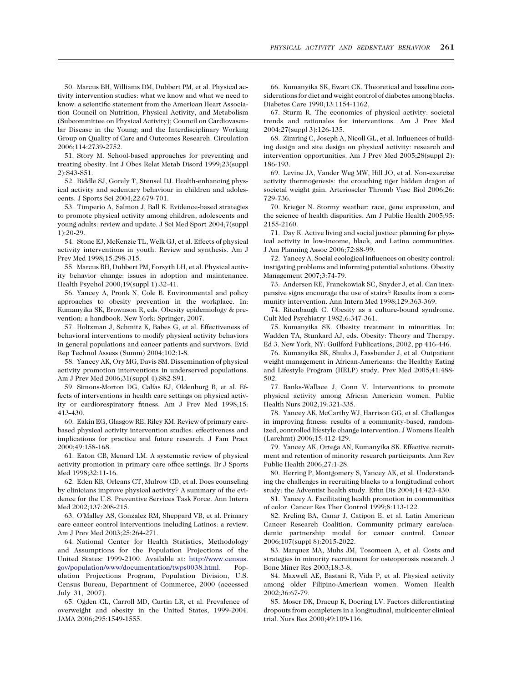<span id="page-8-0"></span>50. Marcus BH, Williams DM, Dubbert PM, et al. Physical activity intervention studies: what we know and what we need to know: a scientific statement from the American Heart Association Council on Nutrition, Physical Activity, and Metabolism (Subcommittee on Physical Activity); Council on Cardiovascular Disease in the Young; and the Interdisciplinary Working Group on Quality of Care and Outcomes Research. Circulation 2006;114:2739-2752.

51. Story M. School-based approaches for preventing and treating obesity. Int J Obes Relat Metab Disord 1999;23(suppl 2):S43-S51.

52. Biddle SJ, Gorely T, Stensel DJ. Health-enhancing physical activity and sedentary behaviour in children and adolescents. J Sports Sci 2004;22:679-701.

53. Timperio A, Salmon J, Ball K. Evidence-based strategies to promote physical activity among children, adolescents and young adults: review and update. J Sci Med Sport 2004;7(suppl 1):20-29.

54. Stone EJ, McKenzie TL, Welk GJ, et al. Effects of physical activity interventions in youth. Review and synthesis. Am J Prev Med 1998;15:298-315.

55. Marcus BH, Dubbert PM, Forsyth LH, et al. Physical activity behavior change: issues in adoption and maintenance. Health Psychol 2000;19(suppl 1):32-41.

56. Yancey A, Pronk N, Cole B. Environmental and policy approaches to obesity prevention in the workplace. In: Kumanyika SK, Brownson R, eds. Obesity epidemiology & prevention: a handbook. New York: Springer; 2007.

57. Holtzman J, Schmitz K, Babes G, et al. Effectiveness of behavioral interventions to modify physical activity behaviors in general populations and cancer patients and survivors. Evid Rep Technol Assess (Summ) 2004;102:1-8.

58. Yancey AK, Ory MG, Davis SM. Dissemination of physical activity promotion interventions in underserved populations. Am J Prev Med 2006;31(suppl 4):S82-S91.

59. Simons-Morton DG, Calfas KJ, Oldenburg B, et al. Effects of interventions in health care settings on physical activity or cardiorespiratory fitness. Am J Prev Med 1998;15: 413-430.

60. Eakin EG, Glasgow RE, Riley KM. Review of primary carebased physical activity intervention studies: effectiveness and implications for practice and future research. J Fam Pract 2000;49:158-168.

61. Eaton CB, Menard LM. A systematic review of physical activity promotion in primary care office settings. Br J Sports Med 1998;32:11-16.

62. Eden KB, Orleans CT, Mulrow CD, et al. Does counseling by clinicians improve physical activity? A summary of the evidence for the U.S. Preventive Services Task Force. Ann Intern Med 2002;137:208-215.

63. O'Malley AS, Gonzalez RM, Sheppard VB, et al. Primary care cancer control interventions including Latinos: a review. Am J Prev Med 2003;25:264-271.

64. National Center for Health Statistics, Methodology and Assumptions for the Population Projections of the United States: 1999-2100. Available at: [http://www.census.](http://www.census.gov/population/www/documentation/twps0038.html) [gov/population/www/documentation/twps0038.html](http://www.census.gov/population/www/documentation/twps0038.html). Population Projections Program, Population Division, U.S. Census Bureau, Department of Commerce, 2000 (accessed July 31, 2007).

65. Ogden CL, Carroll MD, Curtin LR, et al. Prevalence of overweight and obesity in the United States, 1999-2004. JAMA 2006;295:1549-1555.

66. Kumanyika SK, Ewart CK. Theoretical and baseline considerations for diet and weight control of diabetes among blacks. Diabetes Care 1990;13:1154-1162.

67. Sturm R. The economics of physical activity: societal trends and rationales for interventions. Am J Prev Med 2004;27(suppl 3):126-135.

68. Zimring C, Joseph A, Nicoll GL, et al. Influences of building design and site design on physical activity: research and intervention opportunities. Am J Prev Med 2005;28(suppl 2): 186-193.

69. Levine JA, Vander Weg MW, Hill JO, et al. Non-exercise activity thermogenesis: the crouching tiger hidden dragon of societal weight gain. Arterioscler Thromb Vasc Biol 2006;26: 729-736.

70. Krieger N. Stormy weather: race, gene expression, and the science of health disparities. Am J Public Health 2005;95: 2155-2160.

71. Day K. Active living and social justice: planning for physical activity in low-income, black, and Latino communities. J Am Planning Assoc 2006;72:88-99.

72. Yancey A. Social ecological influences on obesity control: instigating problems and informing potential solutions. Obesity Management 2007;3:74-79.

73. Andersen RE, Franckowiak SC, Snyder J, et al. Can inexpensive signs encourage the use of stairs? Results from a community intervention. Ann Intern Med 1998;129:363-369.

74. Ritenbaugh C. Obesity as a culture-bound syndrome. Cult Med Psychiatry 1982;6:347-361.

75. Kumanyika SK. Obesity treatment in minorities. In: Wadden TA, Stunkard AJ, eds. Obesity: Theory and Therapy. Ed 3. New York, NY: Guilford Publications; 2002, pp 416-446.

76. Kumanyika SK, Shults J, Fassbender J, et al. Outpatient weight management in African-Americans: the Healthy Eating and Lifestyle Program (HELP) study. Prev Med 2005;41:488- 502.

77. Banks-Wallace J, Conn V. Interventions to promote physical activity among African American women. Public Health Nurs 2002;19:321-335.

78. Yancey AK, McCarthy WJ, Harrison GG, et al. Challenges in improving fitness: results of a community-based, randomized, controlled lifestyle change intervention. J Womens Health (Larchmt) 2006;15:412-429.

79. Yancey AK, Ortega AN, Kumanyika SK. Effective recruitment and retention of minority research participants. Ann Rev Public Health 2006;27:1-28.

80. Herring P, Montgomery S, Yancey AK, et al. Understanding the challenges in recruiting blacks to a longitudinal cohort study: the Adventist health study. Ethn Dis 2004;14:423-430.

81. Yancey A. Facilitating health promotion in communities of color. Cancer Res Ther Control 1999;8:113-122.

82. Kreling BA, Canar J, Catipon E, et al. Latin American Cancer Research Coalition. Community primary care/academic partnership model for cancer control. Cancer 2006;107(suppl 8):2015-2022.

83. Marquez MA, Muhs JM, Tosomeen A, et al. Costs and strategies in minority recruitment for osteoporosis research. J Bone Miner Res 2003;18:3-8.

84. Maxwell AE, Bastani R, Vida P, et al. Physical activity among older Filipino-American women. Women Health 2002;36:67-79.

85. Moser DK, Dracup K, Doering LV. Factors differentiating dropouts from completers in a longitudinal, multicenter clinical trial. Nurs Res 2000;49:109-116.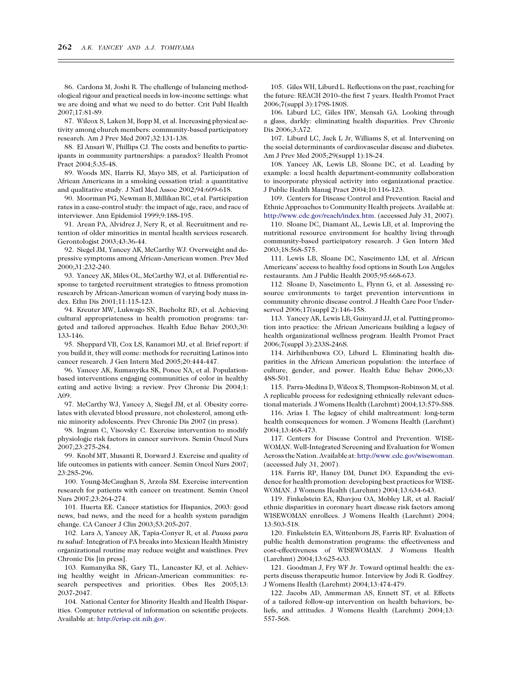<span id="page-9-0"></span>86. Cardona M, Joshi R. The challenge of balancing methodological rigour and practical needs in low-income settings: what we are doing and what we need to do better. Crit Publ Health 2007;17:81-89.

87. Wilcox S, Laken M, Bopp M, et al. Increasing physical activity among church members: community-based participatory research. Am J Prev Med 2007;32:131-138.

88. El Ansari W, Phillips CJ. The costs and benefits to participants in community partnerships: a paradox? Health Promot Pract 2004;5:35-48.

89. Woods MN, Harris KJ, Mayo MS, et al. Participation of African Americans in a smoking cessation trial: a quantitative and qualitative study. J Natl Med Assoc 2002;94:609-618.

90. Moorman PG, Newman B, Millikan RC, et al. Participation rates in a case-control study: the impact of age, race, and race of interviewer. Ann Epidemiol 1999;9:188-195.

91. Arean PA, Alvidrez J, Nery R, et al. Recruitment and retention of older minorities in mental health services research. Gerontologist 2003;43:36-44.

92. Siegel JM, Yancey AK, McCarthy WJ. Overweight and depressive symptoms among African-American women. Prev Med 2000;31:232-240.

93. Yancey AK, Miles OL, McCarthy WJ, et al. Differential response to targeted recruitment strategies to fitness promotion research by African-American women of varying body mass index. Ethn Dis 2001;11:115-123.

94. Kreuter MW, Lukwago SN, Bucholtz RD, et al. Achieving cultural appropriateness in health promotion programs: targeted and tailored approaches. Health Educ Behav 2003;30: 133-146.

95. Sheppard VB, Cox LS, Kanamori MJ, et al. Brief report: if you build it, they will come: methods for recruiting Latinos into cancer research. J Gen Intern Med 2005;20:444-447.

96. Yancey AK, Kumanyika SK, Ponce NA, et al. Populationbased interventions engaging communities of color in healthy eating and active living: a review. Prev Chronic Dis 2004;1: A09.

97. McCarthy WJ, Yancey A, Siegel JM, et al. Obesity correlates with elevated blood pressure, not cholesterol, among ethnic minority adolescents. Prev Chronic Dis 2007 (in press).

98. Ingram C, Visovsky C. Exercise intervention to modify physiologic risk factors in cancer survivors. Semin Oncol Nurs 2007;23:275-284.

99. Knobf MT, Musanti R, Dorward J. Exercise and quality of life outcomes in patients with cancer. Semin Oncol Nurs 2007; 23:285-296.

100. Young-McCaughan S, Arzola SM. Exercise intervention research for patients with cancer on treatment. Semin Oncol Nurs 2007;23:264-274.

101. Huerta EE. Cancer statistics for Hispanics, 2003: good news, bad news, and the need for a health system paradigm change. CA Cancer J Clin 2003;53:205-207.

102. Lara A, Yancey AK, Tapia-Conyer R, et al. Pausa para tu salud: Integration of PA breaks into Mexican Health Ministry organizational routine may reduce weight and waistlines. Prev Chronic Dis [in press].

103. Kumanyika SK, Gary TL, Lancaster KJ, et al. Achieving healthy weight in African-American communities: research perspectives and priorities. Obes Res 2005;13: 2037-2047.

104. National Center for Minority Health and Health Disparities. Computer retrieval of information on scientific projects. Available at: [http://crisp.cit.nih.gov.](http://crisp.cit.nih.gov)

105. Giles WH, Liburd L. Reflections on the past, reaching for the future: REACH 2010–the first 7 years. Health Promot Pract 2006;7(suppl 3):179S-180S.

106. Liburd LC, Giles HW, Mensah GA. Looking through a glass, darkly: eliminating health disparities. Prev Chronic Dis 2006;3:A72.

107. Liburd LC, Jack L Jr, Williams S, et al. Intervening on the social determinants of cardiovascular disease and diabetes. Am J Prev Med 2005;29(suppl 1):18-24.

108. Yancey AK, Lewis LB, Sloane DC, et al. Leading by example: a local health department-community collaboration to incorporate physical activity into organizational practice. J Public Health Manag Pract 2004;10:116-123.

109. Centers for Disease Control and Prevention. Racial and Ethnic Approaches to Community Health projects. Available at: <http://www.cdc.gov/reach/index.htm>. (accessed July 31, 2007).

110. Sloane DC, Diamant AL, Lewis LB, et al. Improving the nutritional resource environment for healthy living through community-based participatory research. J Gen Intern Med 2003;18:568-575.

111. Lewis LB, Sloane DC, Nascimento LM, et al. African Americans' access to healthy food options in South Los Angeles restaurants. Am J Public Health 2005;95:668-673.

112. Sloane D, Nascimento L, Flynn G, et al. Assessing resource environments to target prevention interventions in community chronic disease control. J Health Care Poor Underserved 2006;17(suppl 2):146-158.

113. Yancey AK, Lewis LB, Guinyard JJ, et al. Putting promotion into practice: the African Americans building a legacy of health organizational wellness program. Health Promot Pract 2006;7(suppl 3):233S-246S.

114. Airhihenbuwa CO, Liburd L. Eliminating health disparities in the African American population: the interface of culture, gender, and power. Health Educ Behav 2006;33: 488-501.

115. Parra-Medina D, Wilcox S, Thompson-Robinson M, et al. A replicable process for redesigning ethnically relevant educational materials. J Womens Health (Larchmt) 2004;13:579-588.

116. Arias I. The legacy of child maltreatment: long-term health consequences for women. J Womens Health (Larchmt) 2004;13:468-473.

117. Centers for Disease Control and Prevention. WISE-WOMAN. Well-Integrated Screening and Evaluation for Women Across the Nation. Availableat: [http://www.cdc.gov/wisewoman.](http://www.cdc.gov/wisewoman) (accessed July 31, 2007).

118. Farris RP, Haney DM, Dunet DO. Expanding the evidence for health promotion: developing best practices for WISE-WOMAN. J Womens Health (Larchmt) 2004;13:634-643.

119. Finkelstein EA, Khavjou OA, Mobley LR, et al. Racial/ ethnic disparities in coronary heart disease risk factors among WISEWOMAN enrollees. J Womens Health (Larchmt) 2004; 13:503-518.

120. Finkelstein EA, Wittenborn JS, Farris RP. Evaluation of public health demonstration programs: the effectiveness and cost-effectiveness of WISEWOMAN. J Womens Health (Larchmt) 2004;13:625-633.

121. Goodman J, Fry WF Jr. Toward optimal health: the experts discuss therapeutic humor. Interview by Jodi R. Godfrey. J Womens Health (Larchmt) 2004;13:474-479.

122. Jacobs AD, Ammerman AS, Ennett ST, et al. Effects of a tailored follow-up intervention on health behaviors, beliefs, and attitudes. J Womens Health (Larchmt) 2004;13: 557-568.